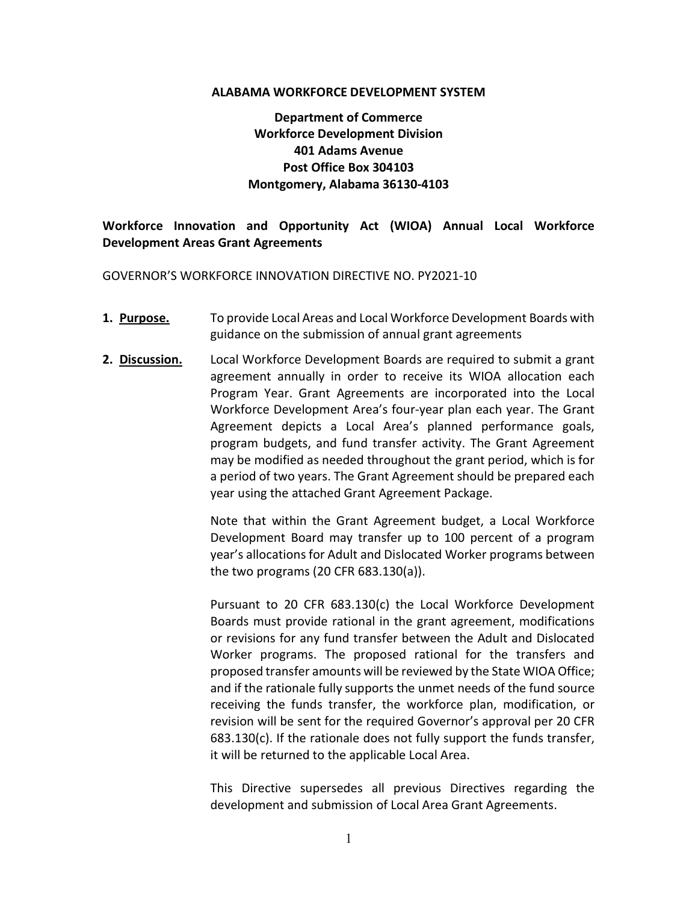#### ALABAMA WORKFORCE DEVELOPMENT SYSTEM

### Department of Commerce Workforce Development Division 401 Adams Avenue Post Office Box 304103 Montgomery, Alabama 36130-4103

#### Workforce Innovation and Opportunity Act (WIOA) Annual Local Workforce Development Areas Grant Agreements

GOVERNOR'S WORKFORCE INNOVATION DIRECTIVE NO. PY2021-10

- **1. Purpose.** To provide Local Areas and Local Workforce Development Boards with guidance on the submission of annual grant agreements
- **2. Discussion.** Local Workforce Development Boards are required to submit a grant agreement annually in order to receive its WIOA allocation each Program Year. Grant Agreements are incorporated into the Local Workforce Development Area's four-year plan each year. The Grant Agreement depicts a Local Area's planned performance goals, program budgets, and fund transfer activity. The Grant Agreement may be modified as needed throughout the grant period, which is for a period of two years. The Grant Agreement should be prepared each year using the attached Grant Agreement Package.

Note that within the Grant Agreement budget, a Local Workforce Development Board may transfer up to 100 percent of a program year's allocations for Adult and Dislocated Worker programs between the two programs (20 CFR 683.130(a)).

Pursuant to 20 CFR 683.130(c) the Local Workforce Development Boards must provide rational in the grant agreement, modifications or revisions for any fund transfer between the Adult and Dislocated Worker programs. The proposed rational for the transfers and proposed transfer amounts will be reviewed by the State WIOA Office; and if the rationale fully supports the unmet needs of the fund source receiving the funds transfer, the workforce plan, modification, or revision will be sent for the required Governor's approval per 20 CFR 683.130(c). If the rationale does not fully support the funds transfer, it will be returned to the applicable Local Area.

This Directive supersedes all previous Directives regarding the development and submission of Local Area Grant Agreements.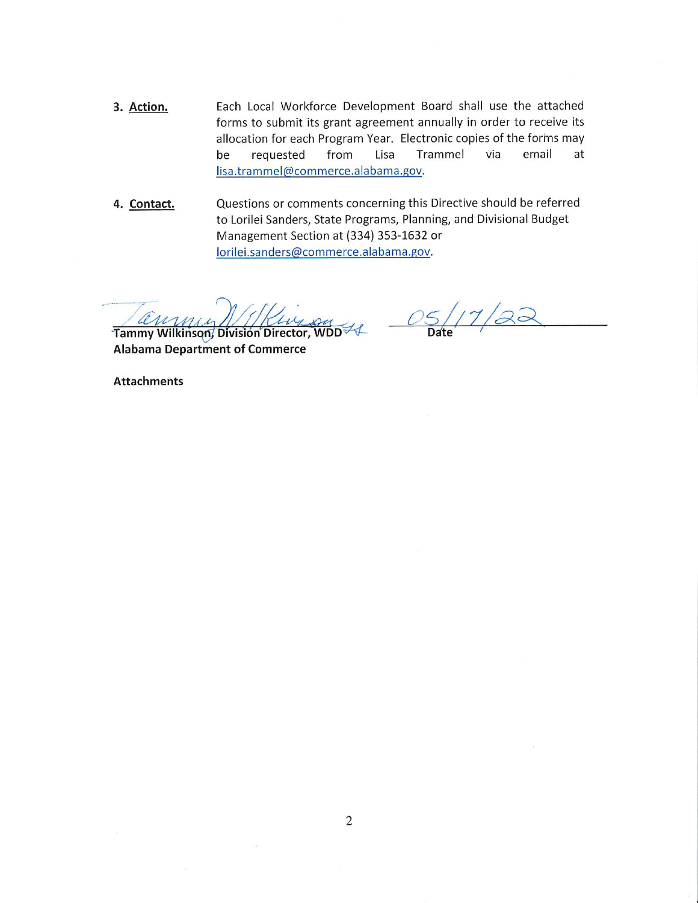- 3. Action. Each Local Workforce Development Board shall use the attached forms to submit its grant agreement annually in order to receive its allocation for each Program Year. Electronic copies of the forms may be requested from Lisa Trammel via email at lisa.trammel@commerce.alabama.gov.
- Questions or comments concerning this Directive should be referred 4. Contact. to Lorilei Sanders, State Programs, Planning, and Divisional Budget Management Section at (334) 353-1632 or lorilei.sanders@commerce.alabama.gov.

Tammy Wilkinson, Division Director, WDD 4

 $7/22$ Date

**Alabama Department of Commerce** 

**Attachments**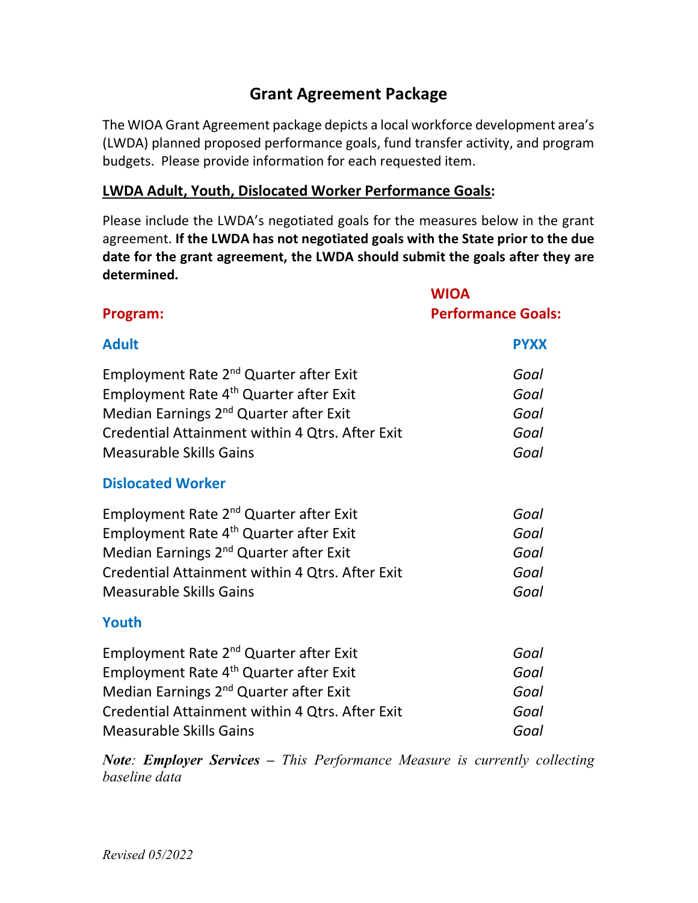# Grant Agreement Package

The WIOA Grant Agreement package depicts a local workforce development area's (LWDA) planned proposed performance goals, fund transfer activity, and program budgets. Please provide information for each requested item.

# LWDA Adult, Youth, Dislocated Worker Performance Goals:

Please include the LWDA's negotiated goals for the measures below in the grant agreement. If the LWDA has not negotiated goals with the State prior to the due date for the grant agreement, the LWDA should submit the goals after they are determined.

|                                                                                                                                                                                                                                                     | <b>WIOA</b>                          |
|-----------------------------------------------------------------------------------------------------------------------------------------------------------------------------------------------------------------------------------------------------|--------------------------------------|
| Program:                                                                                                                                                                                                                                            | <b>Performance Goals:</b>            |
| <b>Adult</b>                                                                                                                                                                                                                                        | <b>PYXX</b>                          |
| Employment Rate 2 <sup>nd</sup> Quarter after Exit<br>Employment Rate 4 <sup>th</sup> Quarter after Exit<br>Median Earnings 2 <sup>nd</sup> Quarter after Exit<br>Credential Attainment within 4 Qtrs. After Exit<br><b>Measurable Skills Gains</b> | Goal<br>Goal<br>Goal<br>Goal<br>Goal |
| <b>Dislocated Worker</b>                                                                                                                                                                                                                            |                                      |
| Employment Rate 2 <sup>nd</sup> Quarter after Exit<br>Employment Rate 4 <sup>th</sup> Quarter after Exit<br>Median Earnings 2 <sup>nd</sup> Quarter after Exit<br>Credential Attainment within 4 Qtrs. After Exit<br><b>Measurable Skills Gains</b> | Goal<br>Goal<br>Goal<br>Goal<br>Goal |
| Youth                                                                                                                                                                                                                                               |                                      |
| Employment Rate 2 <sup>nd</sup> Quarter after Exit<br>Employment Rate 4 <sup>th</sup> Quarter after Exit<br>Median Earnings 2 <sup>nd</sup> Quarter after Exit<br>Credential Attainment within 4 Qtrs. After Exit<br><b>Measurable Skills Gains</b> | Goal<br>Goal<br>Goal<br>Goal<br>Goal |

Note: Employer Services – This Performance Measure is currently collecting baseline data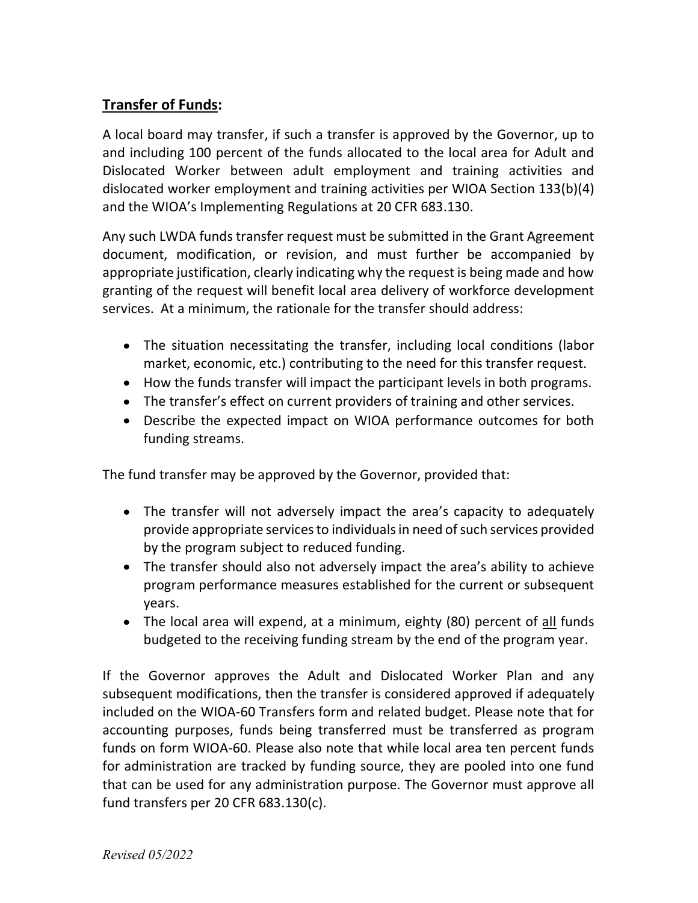# Transfer of Funds:

A local board may transfer, if such a transfer is approved by the Governor, up to and including 100 percent of the funds allocated to the local area for Adult and Dislocated Worker between adult employment and training activities and dislocated worker employment and training activities per WIOA Section 133(b)(4) and the WIOA's Implementing Regulations at 20 CFR 683.130.

Any such LWDA funds transfer request must be submitted in the Grant Agreement document, modification, or revision, and must further be accompanied by appropriate justification, clearly indicating why the request is being made and how granting of the request will benefit local area delivery of workforce development services. At a minimum, the rationale for the transfer should address:

- The situation necessitating the transfer, including local conditions (labor market, economic, etc.) contributing to the need for this transfer request.
- How the funds transfer will impact the participant levels in both programs.
- The transfer's effect on current providers of training and other services.
- Describe the expected impact on WIOA performance outcomes for both funding streams.

The fund transfer may be approved by the Governor, provided that:

- The transfer will not adversely impact the area's capacity to adequately provide appropriate services to individuals in need of such services provided by the program subject to reduced funding.
- The transfer should also not adversely impact the area's ability to achieve program performance measures established for the current or subsequent years.
- The local area will expend, at a minimum, eighty (80) percent of all funds budgeted to the receiving funding stream by the end of the program year.

If the Governor approves the Adult and Dislocated Worker Plan and any subsequent modifications, then the transfer is considered approved if adequately included on the WIOA-60 Transfers form and related budget. Please note that for accounting purposes, funds being transferred must be transferred as program funds on form WIOA-60. Please also note that while local area ten percent funds for administration are tracked by funding source, they are pooled into one fund that can be used for any administration purpose. The Governor must approve all fund transfers per 20 CFR 683.130(c).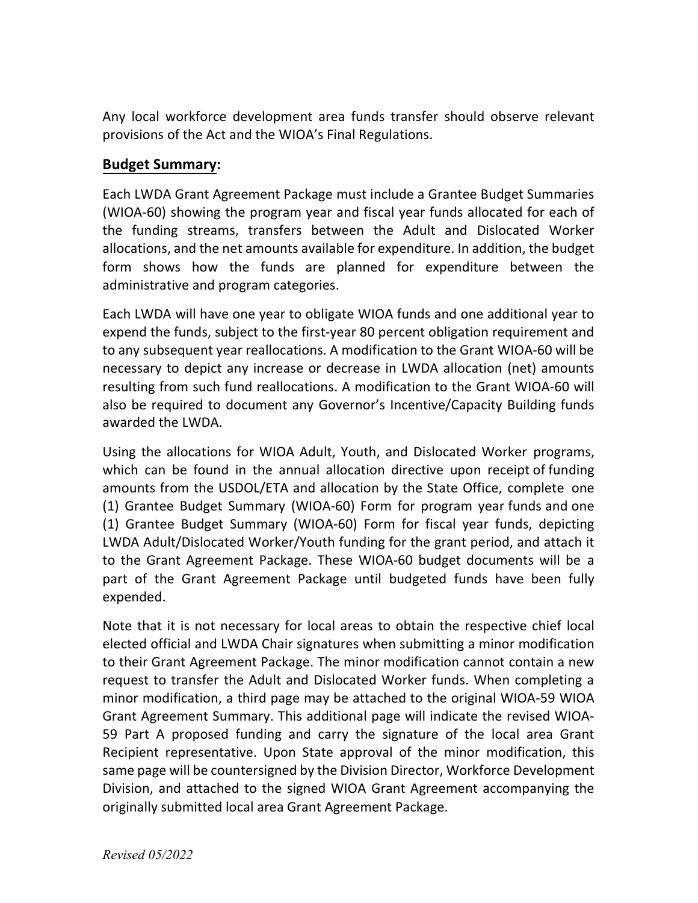Any local workforce development area funds transfer should observe relevant provisions of the Act and the WIOA's Final Regulations.

# Budget Summary:

Each LWDA Grant Agreement Package must include a Grantee Budget Summaries (WIOA-60) showing the program year and fiscal year funds allocated for each of the funding streams, transfers between the Adult and Dislocated Worker allocations, and the net amounts available for expenditure. In addition, the budget form shows how the funds are planned for expenditure between the administrative and program categories.

Each LWDA will have one year to obligate WIOA funds and one additional year to expend the funds, subject to the first-year 80 percent obligation requirement and to any subsequent year reallocations. A modification to the Grant WIOA-60 will be necessary to depict any increase or decrease in LWDA allocation (net) amounts resulting from such fund reallocations. A modification to the Grant WIOA-60 will also be required to document any Governor's Incentive/Capacity Building funds awarded the LWDA.

Using the allocations for WIOA Adult, Youth, and Dislocated Worker programs, which can be found in the annual allocation directive upon receipt of funding amounts from the USDOL/ETA and allocation by the State Office, complete one (1) Grantee Budget Summary (WIOA-60) Form for program year funds and one (1) Grantee Budget Summary (WIOA-60) Form for fiscal year funds, depicting LWDA Adult/Dislocated Worker/Youth funding for the grant period, and attach it to the Grant Agreement Package. These WIOA-60 budget documents will be a part of the Grant Agreement Package until budgeted funds have been fully expended.

Note that it is not necessary for local areas to obtain the respective chief local elected official and LWDA Chair signatures when submitting a minor modification to their Grant Agreement Package. The minor modification cannot contain a new request to transfer the Adult and Dislocated Worker funds. When completing a minor modification, a third page may be attached to the original WIOA-59 WIOA Grant Agreement Summary. This additional page will indicate the revised WIOA-59 Part A proposed funding and carry the signature of the local area Grant Recipient representative. Upon State approval of the minor modification, this same page will be countersigned by the Division Director, Workforce Development Division, and attached to the signed WIOA Grant Agreement accompanying the originally submitted local area Grant Agreement Package.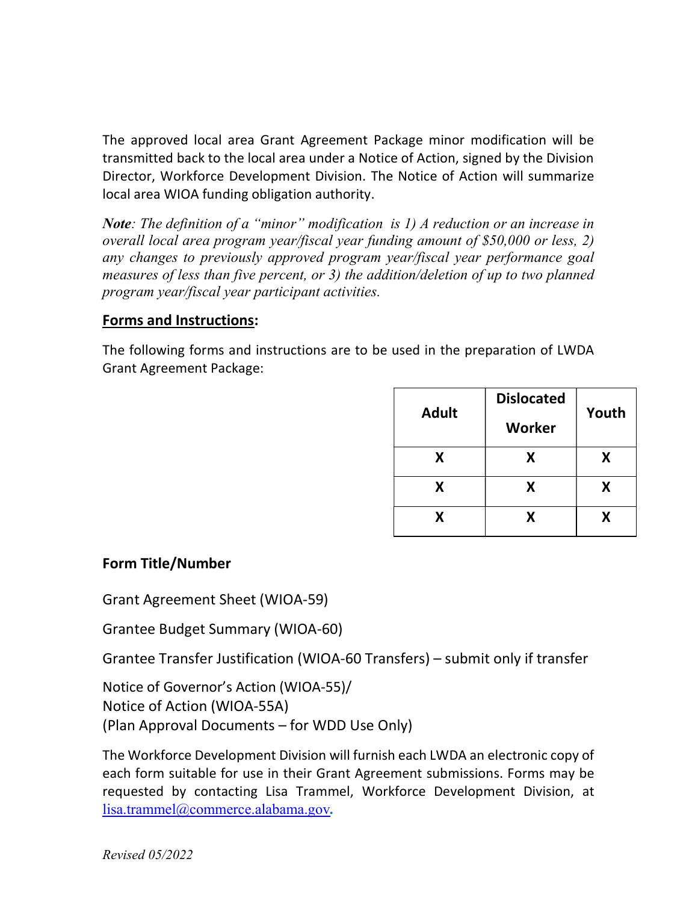The approved local area Grant Agreement Package minor modification will be transmitted back to the local area under a Notice of Action, signed by the Division Director, Workforce Development Division. The Notice of Action will summarize local area WIOA funding obligation authority.

**Note**: The definition of a "minor" modification is 1) A reduction or an increase in overall local area program year/fiscal year funding amount of \$50,000 or less, 2) any changes to previously approved program year/fiscal year performance goal measures of less than five percent, or 3) the addition/deletion of up to two planned program year/fiscal year participant activities.

# Forms and Instructions:

The following forms and instructions are to be used in the preparation of LWDA Grant Agreement Package:

| <b>Adult</b> | <b>Dislocated</b> | Youth |  |
|--------------|-------------------|-------|--|
|              | Worker            |       |  |
| x            | Χ                 | X     |  |
| X            | Χ                 | X     |  |
| x            | х                 | x     |  |

# Form Title/Number

Grant Agreement Sheet (WIOA-59)

Grantee Budget Summary (WIOA-60)

Grantee Transfer Justification (WIOA-60 Transfers) – submit only if transfer

Notice of Governor's Action (WIOA-55)/ Notice of Action (WIOA-55A) (Plan Approval Documents – for WDD Use Only)

The Workforce Development Division will furnish each LWDA an electronic copy of each form suitable for use in their Grant Agreement submissions. Forms may be requested by contacting Lisa Trammel, Workforce Development Division, at lisa.trammel@commerce.alabama.gov.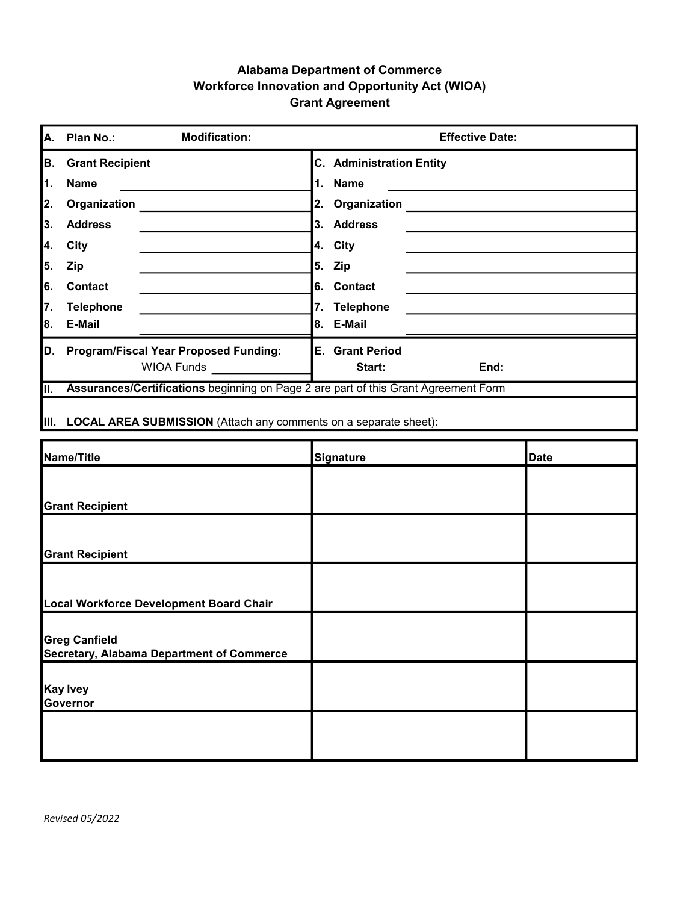### Alabama Department of Commerce Workforce Innovation and Opportunity Act (WIOA) Grant Agreement

| A.  | <b>Modification:</b><br>Plan No.:                                                   | <b>Effective Date:</b>          |  |  |  |  |  |
|-----|-------------------------------------------------------------------------------------|---------------------------------|--|--|--|--|--|
| В.  | <b>Grant Recipient</b>                                                              | <b>C.</b> Administration Entity |  |  |  |  |  |
| l1. | <b>Name</b>                                                                         | Name<br>1.                      |  |  |  |  |  |
| 2.  | Organization                                                                        | 2. Organization                 |  |  |  |  |  |
| 3.  | <b>Address</b>                                                                      | 3. Address                      |  |  |  |  |  |
| 4.  | City                                                                                | 4. City                         |  |  |  |  |  |
| 5.  | <b>Zip</b>                                                                          | 5. Zip                          |  |  |  |  |  |
| 6.  | <b>Contact</b>                                                                      | 6. Contact                      |  |  |  |  |  |
| 7.  | <b>Telephone</b>                                                                    | 7.<br><b>Telephone</b>          |  |  |  |  |  |
| l8. | E-Mail                                                                              | 8. E-Mail                       |  |  |  |  |  |
| D.  | <b>Program/Fiscal Year Proposed Funding:</b>                                        | E.<br><b>Grant Period</b>       |  |  |  |  |  |
|     | <b>WIOA Funds</b>                                                                   | End:<br>Start:                  |  |  |  |  |  |
| II. | Assurances/Certifications beginning on Page 2 are part of this Grant Agreement Form |                                 |  |  |  |  |  |
|     |                                                                                     |                                 |  |  |  |  |  |

III. LOCAL AREA SUBMISSION (Attach any comments on a separate sheet):

| Name/Title                                                        | Signature | <b>Date</b> |
|-------------------------------------------------------------------|-----------|-------------|
|                                                                   |           |             |
| <b>Grant Recipient</b>                                            |           |             |
|                                                                   |           |             |
| <b>Grant Recipient</b>                                            |           |             |
|                                                                   |           |             |
| Local Workforce Development Board Chair                           |           |             |
|                                                                   |           |             |
| <b>Greg Canfield</b><br>Secretary, Alabama Department of Commerce |           |             |
|                                                                   |           |             |
| Kay Ivey<br>Governor                                              |           |             |
|                                                                   |           |             |
|                                                                   |           |             |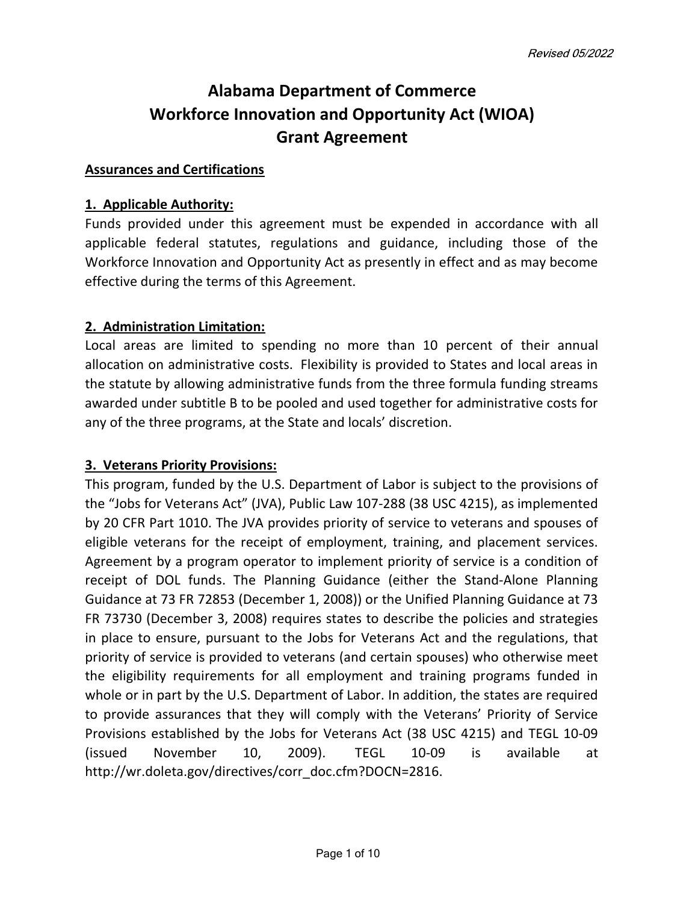# Alabama Department of Commerce Workforce Innovation and Opportunity Act (WIOA) Grant Agreement

#### Assurances and Certifications

#### 1. Applicable Authority:

Funds provided under this agreement must be expended in accordance with all applicable federal statutes, regulations and guidance, including those of the Workforce Innovation and Opportunity Act as presently in effect and as may become effective during the terms of this Agreement.

### 2. Administration Limitation:

Local areas are limited to spending no more than 10 percent of their annual allocation on administrative costs. Flexibility is provided to States and local areas in the statute by allowing administrative funds from the three formula funding streams awarded under subtitle B to be pooled and used together for administrative costs for any of the three programs, at the State and locals' discretion.

### 3. Veterans Priority Provisions:

This program, funded by the U.S. Department of Labor is subject to the provisions of the "Jobs for Veterans Act" (JVA), Public Law 107-288 (38 USC 4215), as implemented by 20 CFR Part 1010. The JVA provides priority of service to veterans and spouses of eligible veterans for the receipt of employment, training, and placement services. Agreement by a program operator to implement priority of service is a condition of receipt of DOL funds. The Planning Guidance (either the Stand-Alone Planning Guidance at 73 FR 72853 (December 1, 2008)) or the Unified Planning Guidance at 73 FR 73730 (December 3, 2008) requires states to describe the policies and strategies in place to ensure, pursuant to the Jobs for Veterans Act and the regulations, that priority of service is provided to veterans (and certain spouses) who otherwise meet the eligibility requirements for all employment and training programs funded in whole or in part by the U.S. Department of Labor. In addition, the states are required to provide assurances that they will comply with the Veterans' Priority of Service Provisions established by the Jobs for Veterans Act (38 USC 4215) and TEGL 10-09 (issued November 10, 2009). TEGL 10-09 is available at http://wr.doleta.gov/directives/corr\_doc.cfm?DOCN=2816.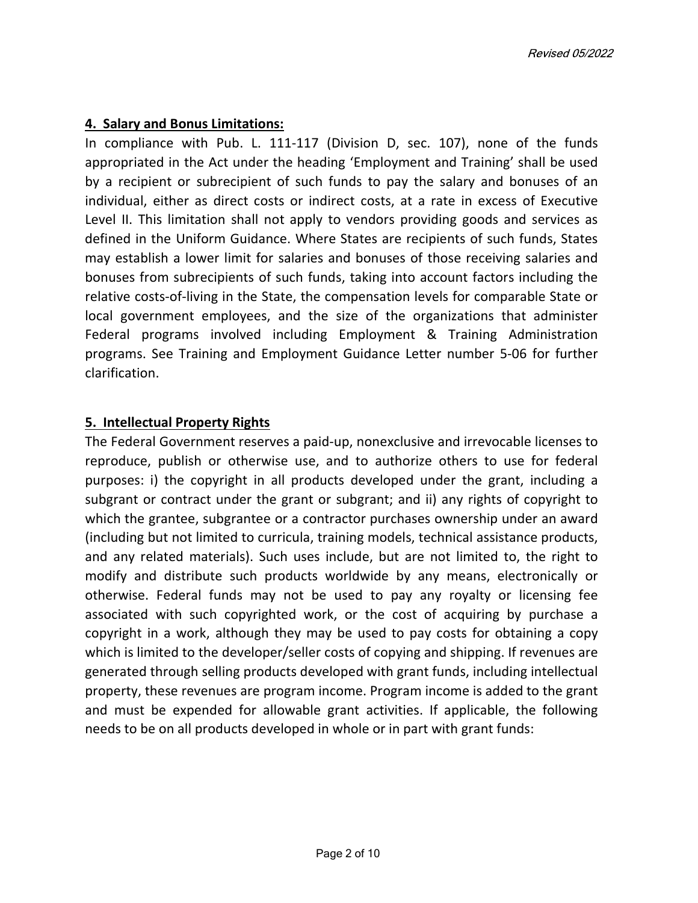### 4. Salary and Bonus Limitations:

In compliance with Pub. L. 111-117 (Division D, sec. 107), none of the funds appropriated in the Act under the heading 'Employment and Training' shall be used by a recipient or subrecipient of such funds to pay the salary and bonuses of an individual, either as direct costs or indirect costs, at a rate in excess of Executive Level II. This limitation shall not apply to vendors providing goods and services as defined in the Uniform Guidance. Where States are recipients of such funds, States may establish a lower limit for salaries and bonuses of those receiving salaries and bonuses from subrecipients of such funds, taking into account factors including the relative costs-of-living in the State, the compensation levels for comparable State or local government employees, and the size of the organizations that administer Federal programs involved including Employment & Training Administration programs. See Training and Employment Guidance Letter number 5-06 for further clarification.

### 5. Intellectual Property Rights

The Federal Government reserves a paid-up, nonexclusive and irrevocable licenses to reproduce, publish or otherwise use, and to authorize others to use for federal purposes: i) the copyright in all products developed under the grant, including a subgrant or contract under the grant or subgrant; and ii) any rights of copyright to which the grantee, subgrantee or a contractor purchases ownership under an award (including but not limited to curricula, training models, technical assistance products, and any related materials). Such uses include, but are not limited to, the right to modify and distribute such products worldwide by any means, electronically or otherwise. Federal funds may not be used to pay any royalty or licensing fee associated with such copyrighted work, or the cost of acquiring by purchase a copyright in a work, although they may be used to pay costs for obtaining a copy which is limited to the developer/seller costs of copying and shipping. If revenues are generated through selling products developed with grant funds, including intellectual property, these revenues are program income. Program income is added to the grant and must be expended for allowable grant activities. If applicable, the following needs to be on all products developed in whole or in part with grant funds: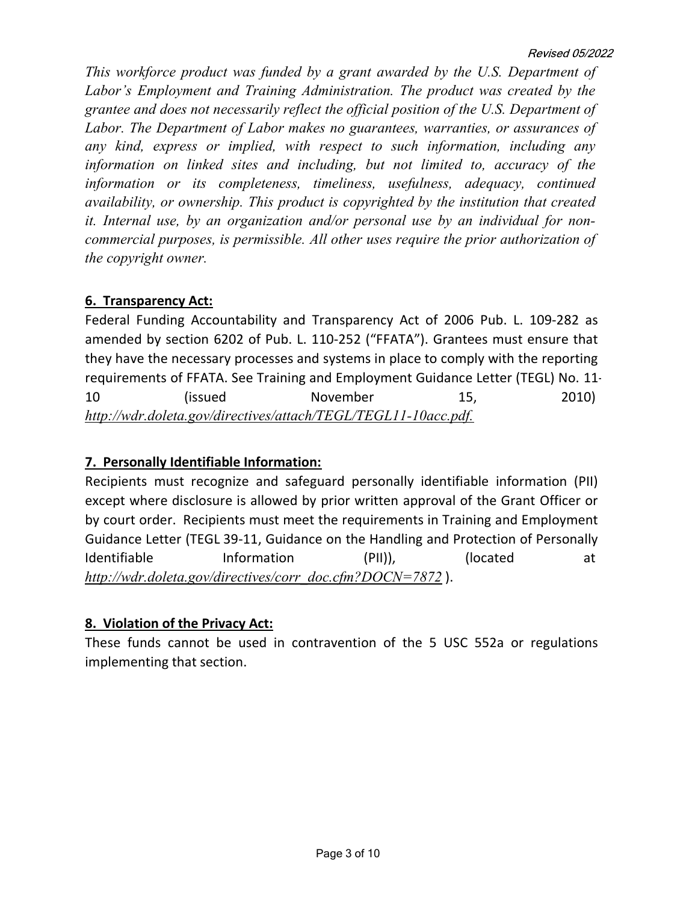This workforce product was funded by a grant awarded by the U.S. Department of Labor's Employment and Training Administration. The product was created by the grantee and does not necessarily reflect the official position of the U.S. Department of Labor. The Department of Labor makes no guarantees, warranties, or assurances of any kind, express or implied, with respect to such information, including any information on linked sites and including, but not limited to, accuracy of the information or its completeness, timeliness, usefulness, adequacy, continued availability, or ownership. This product is copyrighted by the institution that created it. Internal use, by an organization and/or personal use by an individual for noncommercial purposes, is permissible. All other uses require the prior authorization of the copyright owner.

# 6. Transparency Act:

Federal Funding Accountability and Transparency Act of 2006 Pub. L. 109-282 as amended by section 6202 of Pub. L. 110-252 ("FFATA"). Grantees must ensure that they have the necessary processes and systems in place to comply with the reporting requirements of FFATA. See Training and Employment Guidance Letter (TEGL) No. 11- 10 (issued November 15, 2010) http://wdr.doleta.gov/directives/attach/TEGL/TEGL11-10acc.pdf.

# 7. Personally Identifiable Information:

Recipients must recognize and safeguard personally identifiable information (PII) except where disclosure is allowed by prior written approval of the Grant Officer or by court order. Recipients must meet the requirements in Training and Employment Guidance Letter (TEGL 39-11, Guidance on the Handling and Protection of Personally Identifiable Information (PII)), (located at http://wdr.doleta.gov/directives/corr\_doc.cfm?DOCN=7872).

# 8. Violation of the Privacy Act:

These funds cannot be used in contravention of the 5 USC 552a or regulations implementing that section.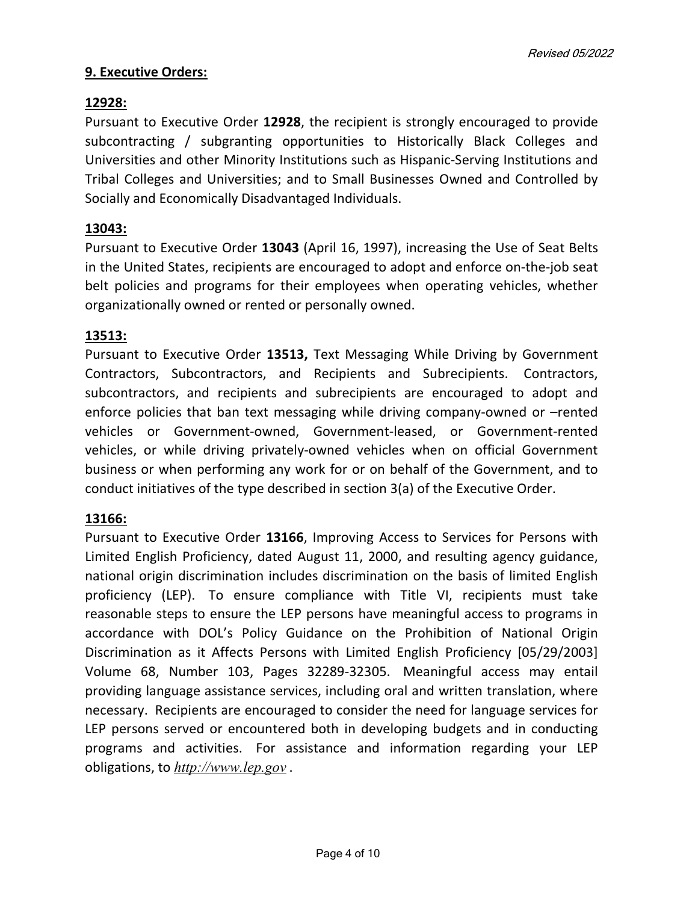### 9. Executive Orders:

### 12928:

Pursuant to Executive Order 12928, the recipient is strongly encouraged to provide subcontracting / subgranting opportunities to Historically Black Colleges and Universities and other Minority Institutions such as Hispanic-Serving Institutions and Tribal Colleges and Universities; and to Small Businesses Owned and Controlled by Socially and Economically Disadvantaged Individuals.

### 13043:

Pursuant to Executive Order 13043 (April 16, 1997), increasing the Use of Seat Belts in the United States, recipients are encouraged to adopt and enforce on-the-job seat belt policies and programs for their employees when operating vehicles, whether organizationally owned or rented or personally owned.

### 13513:

Pursuant to Executive Order 13513, Text Messaging While Driving by Government Contractors, Subcontractors, and Recipients and Subrecipients. Contractors, subcontractors, and recipients and subrecipients are encouraged to adopt and enforce policies that ban text messaging while driving company-owned or –rented vehicles or Government-owned, Government-leased, or Government-rented vehicles, or while driving privately-owned vehicles when on official Government business or when performing any work for or on behalf of the Government, and to conduct initiatives of the type described in section 3(a) of the Executive Order.

### 13166:

Pursuant to Executive Order 13166, Improving Access to Services for Persons with Limited English Proficiency, dated August 11, 2000, and resulting agency guidance, national origin discrimination includes discrimination on the basis of limited English proficiency (LEP). To ensure compliance with Title VI, recipients must take reasonable steps to ensure the LEP persons have meaningful access to programs in accordance with DOL's Policy Guidance on the Prohibition of National Origin Discrimination as it Affects Persons with Limited English Proficiency [05/29/2003] Volume 68, Number 103, Pages 32289-32305. Meaningful access may entail providing language assistance services, including oral and written translation, where necessary. Recipients are encouraged to consider the need for language services for LEP persons served or encountered both in developing budgets and in conducting programs and activities. For assistance and information regarding your LEP obligations, to http://www.lep.gov .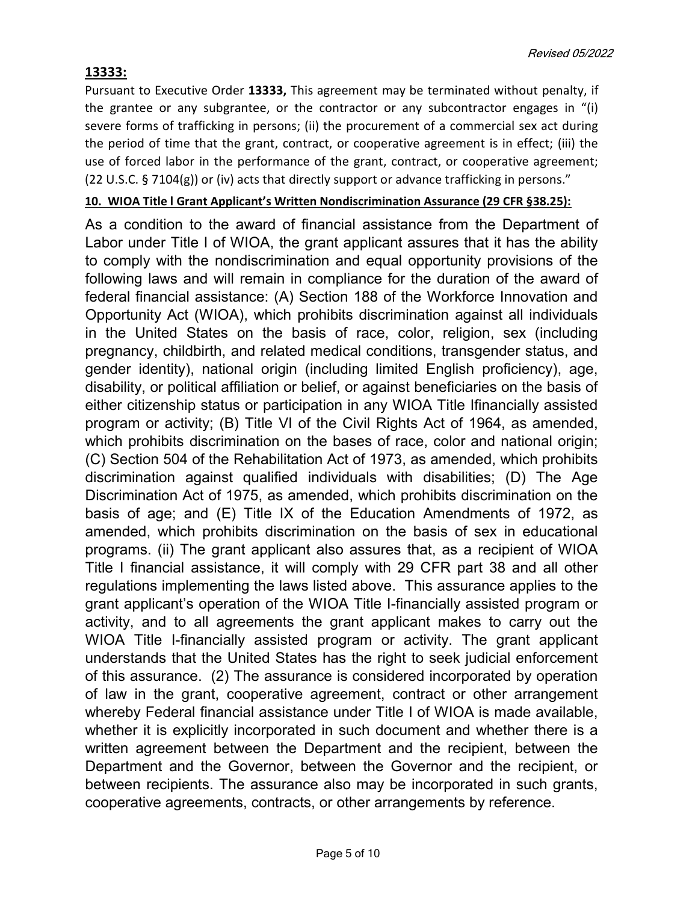# 13333:

Pursuant to Executive Order 13333, This agreement may be terminated without penalty, if the grantee or any subgrantee, or the contractor or any subcontractor engages in "(i) severe forms of trafficking in persons; (ii) the procurement of a commercial sex act during the period of time that the grant, contract, or cooperative agreement is in effect; (iii) the use of forced labor in the performance of the grant, contract, or cooperative agreement; (22 U.S.C. § 7104(g)) or (iv) acts that directly support or advance trafficking in persons."

### 10. WIOA Title l Grant Applicant's Written Nondiscrimination Assurance (29 CFR §38.25):

As a condition to the award of financial assistance from the Department of Labor under Title I of WIOA, the grant applicant assures that it has the ability to comply with the nondiscrimination and equal opportunity provisions of the following laws and will remain in compliance for the duration of the award of federal financial assistance: (A) Section 188 of the Workforce Innovation and Opportunity Act (WIOA), which prohibits discrimination against all individuals in the United States on the basis of race, color, religion, sex (including pregnancy, childbirth, and related medical conditions, transgender status, and gender identity), national origin (including limited English proficiency), age, disability, or political affiliation or belief, or against beneficiaries on the basis of either citizenship status or participation in any WIOA Title Ifinancially assisted program or activity; (B) Title VI of the Civil Rights Act of 1964, as amended, which prohibits discrimination on the bases of race, color and national origin; (C) Section 504 of the Rehabilitation Act of 1973, as amended, which prohibits discrimination against qualified individuals with disabilities; (D) The Age Discrimination Act of 1975, as amended, which prohibits discrimination on the basis of age; and (E) Title IX of the Education Amendments of 1972, as amended, which prohibits discrimination on the basis of sex in educational programs. (ii) The grant applicant also assures that, as a recipient of WIOA Title I financial assistance, it will comply with 29 CFR part 38 and all other regulations implementing the laws listed above. This assurance applies to the grant applicant's operation of the WIOA Title I-financially assisted program or activity, and to all agreements the grant applicant makes to carry out the WIOA Title I-financially assisted program or activity. The grant applicant understands that the United States has the right to seek judicial enforcement of this assurance. (2) The assurance is considered incorporated by operation of law in the grant, cooperative agreement, contract or other arrangement whereby Federal financial assistance under Title I of WIOA is made available, whether it is explicitly incorporated in such document and whether there is a written agreement between the Department and the recipient, between the Department and the Governor, between the Governor and the recipient, or between recipients. The assurance also may be incorporated in such grants, cooperative agreements, contracts, or other arrangements by reference.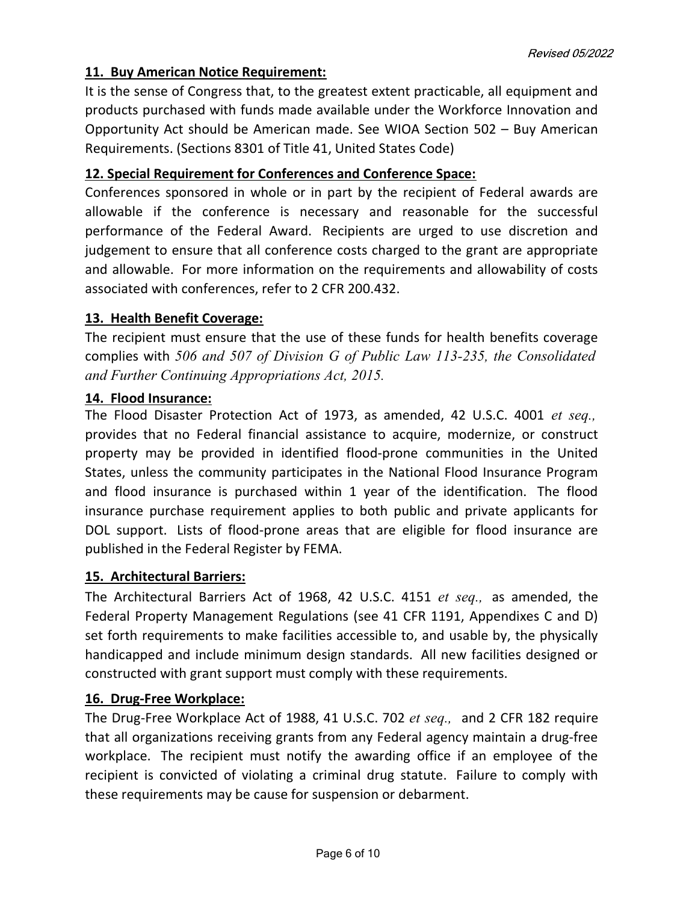# 11. Buy American Notice Requirement:

It is the sense of Congress that, to the greatest extent practicable, all equipment and products purchased with funds made available under the Workforce Innovation and Opportunity Act should be American made. See WIOA Section 502 – Buy American Requirements. (Sections 8301 of Title 41, United States Code)

# 12. Special Requirement for Conferences and Conference Space:

Conferences sponsored in whole or in part by the recipient of Federal awards are allowable if the conference is necessary and reasonable for the successful performance of the Federal Award. Recipients are urged to use discretion and judgement to ensure that all conference costs charged to the grant are appropriate and allowable. For more information on the requirements and allowability of costs associated with conferences, refer to 2 CFR 200.432.

# 13. Health Benefit Coverage:

The recipient must ensure that the use of these funds for health benefits coverage complies with 506 and 507 of Division G of Public Law 113-235, the Consolidated and Further Continuing Appropriations Act, 2015.

# 14. Flood Insurance:

The Flood Disaster Protection Act of 1973, as amended, 42 U.S.C. 4001 et seq., provides that no Federal financial assistance to acquire, modernize, or construct property may be provided in identified flood-prone communities in the United States, unless the community participates in the National Flood Insurance Program and flood insurance is purchased within 1 year of the identification. The flood insurance purchase requirement applies to both public and private applicants for DOL support. Lists of flood-prone areas that are eligible for flood insurance are published in the Federal Register by FEMA.

# 15. Architectural Barriers:

The Architectural Barriers Act of 1968, 42 U.S.C. 4151 et seq., as amended, the Federal Property Management Regulations (see 41 CFR 1191, Appendixes C and D) set forth requirements to make facilities accessible to, and usable by, the physically handicapped and include minimum design standards. All new facilities designed or constructed with grant support must comply with these requirements.

# 16. Drug-Free Workplace:

The Drug-Free Workplace Act of 1988, 41 U.S.C. 702 et seq., and 2 CFR 182 require that all organizations receiving grants from any Federal agency maintain a drug-free workplace. The recipient must notify the awarding office if an employee of the recipient is convicted of violating a criminal drug statute. Failure to comply with these requirements may be cause for suspension or debarment.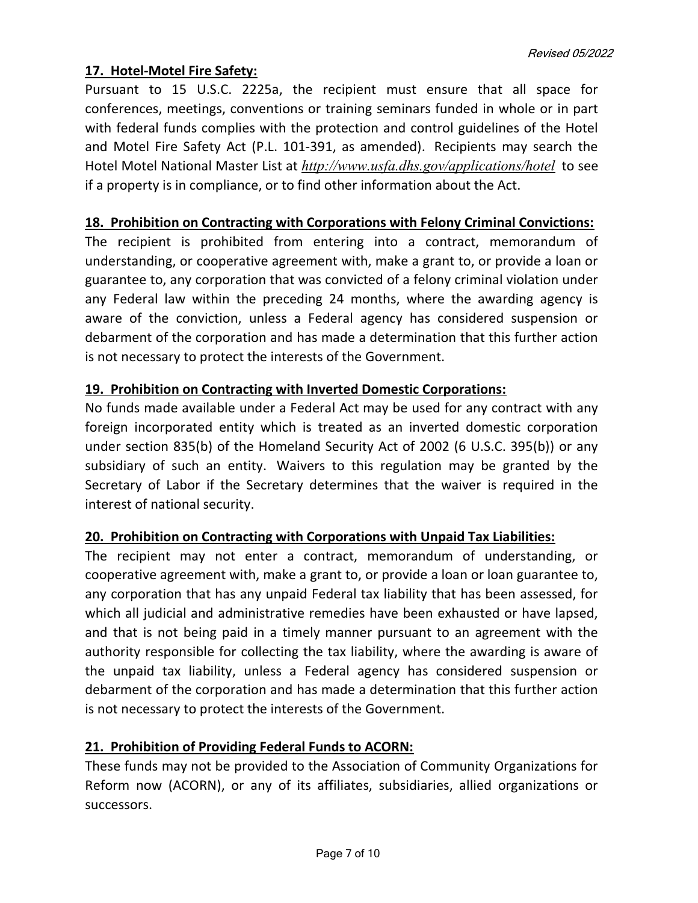### 17. Hotel-Motel Fire Safety:

Pursuant to 15 U.S.C. 2225a, the recipient must ensure that all space for conferences, meetings, conventions or training seminars funded in whole or in part with federal funds complies with the protection and control guidelines of the Hotel and Motel Fire Safety Act (P.L. 101-391, as amended). Recipients may search the Hotel Motel National Master List at http://www.usfa.dhs.gov/applications/hotel to see if a property is in compliance, or to find other information about the Act.

### 18. Prohibition on Contracting with Corporations with Felony Criminal Convictions:

The recipient is prohibited from entering into a contract, memorandum of understanding, or cooperative agreement with, make a grant to, or provide a loan or guarantee to, any corporation that was convicted of a felony criminal violation under any Federal law within the preceding 24 months, where the awarding agency is aware of the conviction, unless a Federal agency has considered suspension or debarment of the corporation and has made a determination that this further action is not necessary to protect the interests of the Government.

# 19. Prohibition on Contracting with Inverted Domestic Corporations:

No funds made available under a Federal Act may be used for any contract with any foreign incorporated entity which is treated as an inverted domestic corporation under section 835(b) of the Homeland Security Act of 2002 (6 U.S.C. 395(b)) or any subsidiary of such an entity. Waivers to this regulation may be granted by the Secretary of Labor if the Secretary determines that the waiver is required in the interest of national security.

# 20. Prohibition on Contracting with Corporations with Unpaid Tax Liabilities:

The recipient may not enter a contract, memorandum of understanding, or cooperative agreement with, make a grant to, or provide a loan or loan guarantee to, any corporation that has any unpaid Federal tax liability that has been assessed, for which all judicial and administrative remedies have been exhausted or have lapsed, and that is not being paid in a timely manner pursuant to an agreement with the authority responsible for collecting the tax liability, where the awarding is aware of the unpaid tax liability, unless a Federal agency has considered suspension or debarment of the corporation and has made a determination that this further action is not necessary to protect the interests of the Government.

# 21. Prohibition of Providing Federal Funds to ACORN:

These funds may not be provided to the Association of Community Organizations for Reform now (ACORN), or any of its affiliates, subsidiaries, allied organizations or successors.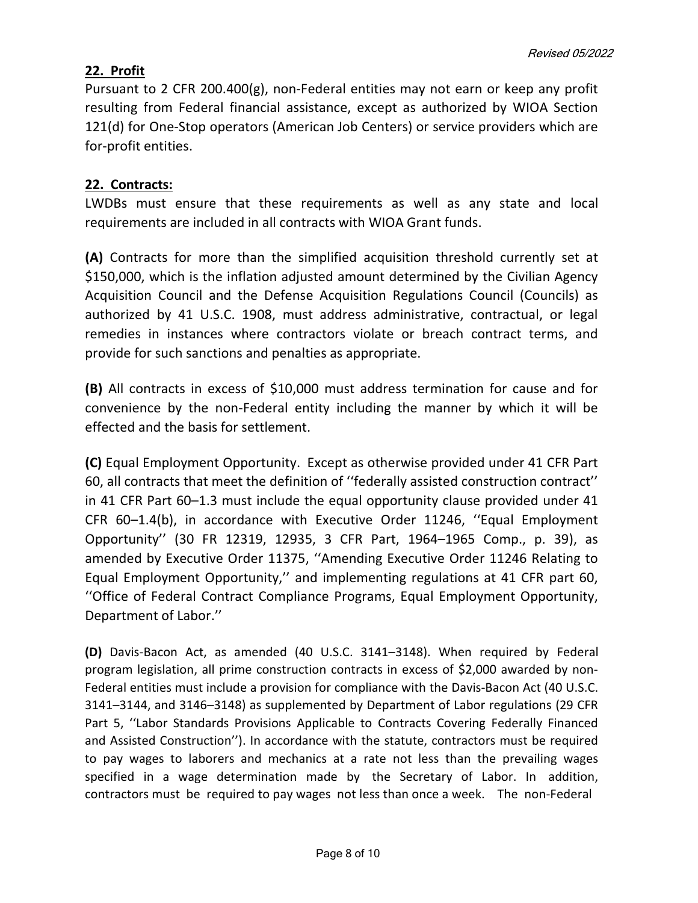### 22. Profit

Pursuant to 2 CFR 200.400(g), non-Federal entities may not earn or keep any profit resulting from Federal financial assistance, except as authorized by WIOA Section 121(d) for One-Stop operators (American Job Centers) or service providers which are for-profit entities.

### 22. Contracts:

LWDBs must ensure that these requirements as well as any state and local requirements are included in all contracts with WIOA Grant funds.

(A) Contracts for more than the simplified acquisition threshold currently set at \$150,000, which is the inflation adjusted amount determined by the Civilian Agency Acquisition Council and the Defense Acquisition Regulations Council (Councils) as authorized by 41 U.S.C. 1908, must address administrative, contractual, or legal remedies in instances where contractors violate or breach contract terms, and provide for such sanctions and penalties as appropriate.

(B) All contracts in excess of \$10,000 must address termination for cause and for convenience by the non-Federal entity including the manner by which it will be effected and the basis for settlement.

(C) Equal Employment Opportunity. Except as otherwise provided under 41 CFR Part 60, all contracts that meet the definition of ''federally assisted construction contract'' in 41 CFR Part 60–1.3 must include the equal opportunity clause provided under 41 CFR 60–1.4(b), in accordance with Executive Order 11246, ''Equal Employment Opportunity'' (30 FR 12319, 12935, 3 CFR Part, 1964–1965 Comp., p. 39), as amended by Executive Order 11375, ''Amending Executive Order 11246 Relating to Equal Employment Opportunity,'' and implementing regulations at 41 CFR part 60, ''Office of Federal Contract Compliance Programs, Equal Employment Opportunity, Department of Labor.''

(D) Davis-Bacon Act, as amended (40 U.S.C. 3141–3148). When required by Federal program legislation, all prime construction contracts in excess of \$2,000 awarded by non-Federal entities must include a provision for compliance with the Davis-Bacon Act (40 U.S.C. 3141–3144, and 3146–3148) as supplemented by Department of Labor regulations (29 CFR Part 5, ''Labor Standards Provisions Applicable to Contracts Covering Federally Financed and Assisted Construction''). In accordance with the statute, contractors must be required to pay wages to laborers and mechanics at a rate not less than the prevailing wages specified in a wage determination made by the Secretary of Labor. In addition, contractors must be required to pay wages not less than once a week. The non-Federal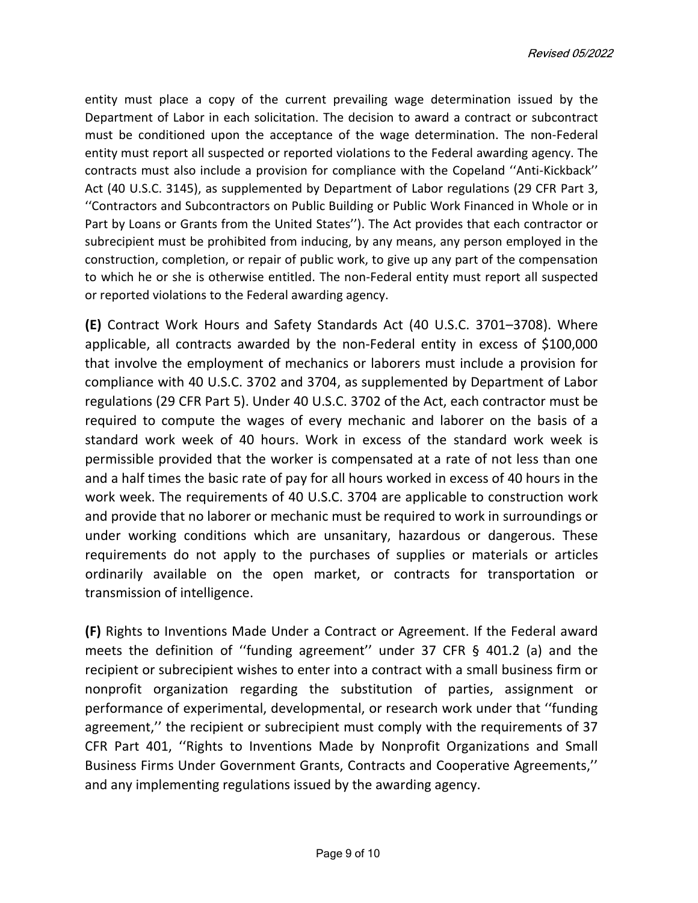Revised 05/2022

entity must place a copy of the current prevailing wage determination issued by the Department of Labor in each solicitation. The decision to award a contract or subcontract must be conditioned upon the acceptance of the wage determination. The non-Federal entity must report all suspected or reported violations to the Federal awarding agency. The contracts must also include a provision for compliance with the Copeland ''Anti-Kickback'' Act (40 U.S.C. 3145), as supplemented by Department of Labor regulations (29 CFR Part 3, ''Contractors and Subcontractors on Public Building or Public Work Financed in Whole or in Part by Loans or Grants from the United States''). The Act provides that each contractor or subrecipient must be prohibited from inducing, by any means, any person employed in the construction, completion, or repair of public work, to give up any part of the compensation to which he or she is otherwise entitled. The non-Federal entity must report all suspected or reported violations to the Federal awarding agency.

(E) Contract Work Hours and Safety Standards Act (40 U.S.C. 3701–3708). Where applicable, all contracts awarded by the non-Federal entity in excess of \$100,000 that involve the employment of mechanics or laborers must include a provision for compliance with 40 U.S.C. 3702 and 3704, as supplemented by Department of Labor regulations (29 CFR Part 5). Under 40 U.S.C. 3702 of the Act, each contractor must be required to compute the wages of every mechanic and laborer on the basis of a standard work week of 40 hours. Work in excess of the standard work week is permissible provided that the worker is compensated at a rate of not less than one and a half times the basic rate of pay for all hours worked in excess of 40 hours in the work week. The requirements of 40 U.S.C. 3704 are applicable to construction work and provide that no laborer or mechanic must be required to work in surroundings or under working conditions which are unsanitary, hazardous or dangerous. These requirements do not apply to the purchases of supplies or materials or articles ordinarily available on the open market, or contracts for transportation or transmission of intelligence.

(F) Rights to Inventions Made Under a Contract or Agreement. If the Federal award meets the definition of ''funding agreement'' under 37 CFR § 401.2 (a) and the recipient or subrecipient wishes to enter into a contract with a small business firm or nonprofit organization regarding the substitution of parties, assignment or performance of experimental, developmental, or research work under that ''funding agreement,'' the recipient or subrecipient must comply with the requirements of 37 CFR Part 401, ''Rights to Inventions Made by Nonprofit Organizations and Small Business Firms Under Government Grants, Contracts and Cooperative Agreements,'' and any implementing regulations issued by the awarding agency.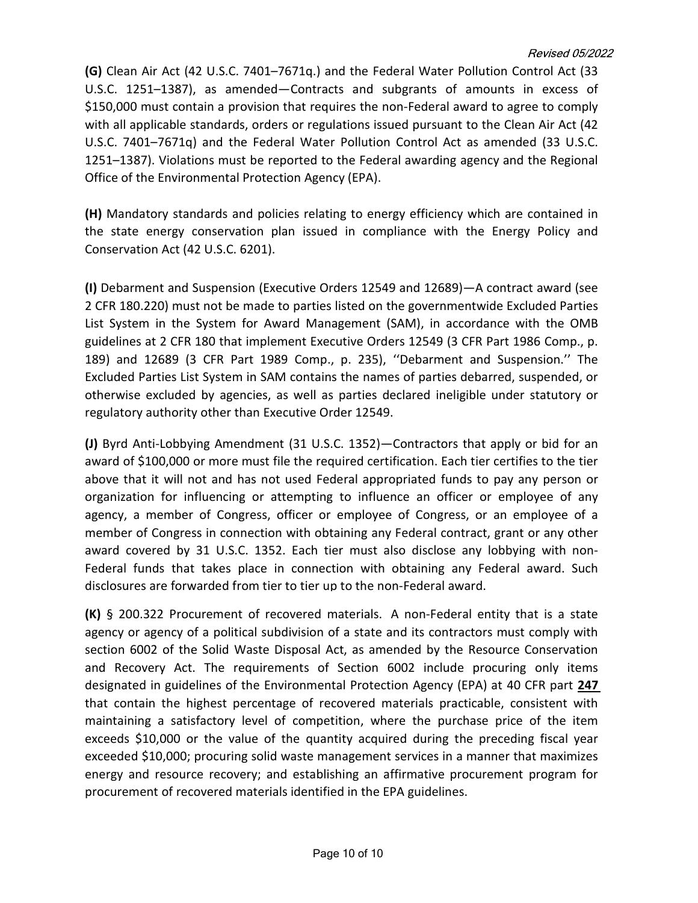#### Revised 05/2022

(G) Clean Air Act (42 U.S.C. 7401–7671q.) and the Federal Water Pollution Control Act (33 U.S.C. 1251–1387), as amended—Contracts and subgrants of amounts in excess of \$150,000 must contain a provision that requires the non-Federal award to agree to comply with all applicable standards, orders or regulations issued pursuant to the Clean Air Act (42 U.S.C. 7401–7671q) and the Federal Water Pollution Control Act as amended (33 U.S.C. 1251–1387). Violations must be reported to the Federal awarding agency and the Regional Office of the Environmental Protection Agency (EPA).

(H) Mandatory standards and policies relating to energy efficiency which are contained in the state energy conservation plan issued in compliance with the Energy Policy and Conservation Act (42 U.S.C. 6201).

(I) Debarment and Suspension (Executive Orders 12549 and 12689)—A contract award (see 2 CFR 180.220) must not be made to parties listed on the governmentwide Excluded Parties List System in the System for Award Management (SAM), in accordance with the OMB guidelines at 2 CFR 180 that implement Executive Orders 12549 (3 CFR Part 1986 Comp., p. 189) and 12689 (3 CFR Part 1989 Comp., p. 235), ''Debarment and Suspension.'' The Excluded Parties List System in SAM contains the names of parties debarred, suspended, or otherwise excluded by agencies, as well as parties declared ineligible under statutory or regulatory authority other than Executive Order 12549.

(J) Byrd Anti-Lobbying Amendment (31 U.S.C. 1352)—Contractors that apply or bid for an award of \$100,000 or more must file the required certification. Each tier certifies to the tier above that it will not and has not used Federal appropriated funds to pay any person or organization for influencing or attempting to influence an officer or employee of any agency, a member of Congress, officer or employee of Congress, or an employee of a member of Congress in connection with obtaining any Federal contract, grant or any other award covered by 31 U.S.C. 1352. Each tier must also disclose any lobbying with non-Federal funds that takes place in connection with obtaining any Federal award. Such disclosures are forwarded from tier to tier up to the non-Federal award.

(K) § 200.322 Procurement of recovered materials. A non-Federal entity that is a state agency or agency of a political subdivision of a state and its contractors must comply with section 6002 of the Solid Waste Disposal Act, as amended by the Resource Conservation and Recovery Act. The requirements of Section 6002 include procuring only items designated in guidelines of the Environmental Protection Agency (EPA) at 40 CFR part 247 that contain the highest percentage of recovered materials practicable, consistent with maintaining a satisfactory level of competition, where the purchase price of the item exceeds \$10,000 or the value of the quantity acquired during the preceding fiscal year exceeded \$10,000; procuring solid waste management services in a manner that maximizes energy and resource recovery; and establishing an affirmative procurement program for procurement of recovered materials identified in the EPA guidelines.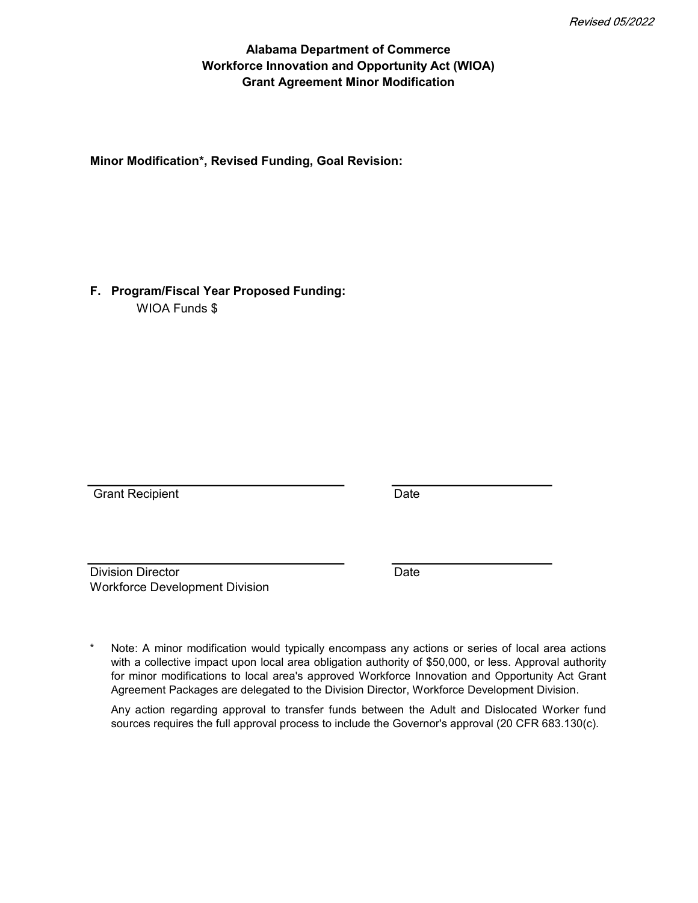### Alabama Department of Commerce Grant Agreement Minor Modification Workforce Innovation and Opportunity Act (WIOA)

Minor Modification\*, Revised Funding, Goal Revision:

F. Program/Fiscal Year Proposed Funding: WIOA Funds \$

Grant Recipient **Date** 

Division Director **Division** Date Workforce Development Division

\* Note: A minor modification would typically encompass any actions or series of local area actions with a collective impact upon local area obligation authority of \$50,000, or less. Approval authority for minor modifications to local area's approved Workforce Innovation and Opportunity Act Grant Agreement Packages are delegated to the Division Director, Workforce Development Division.

Any action regarding approval to transfer funds between the Adult and Dislocated Worker fund sources requires the full approval process to include the Governor's approval (20 CFR 683.130(c).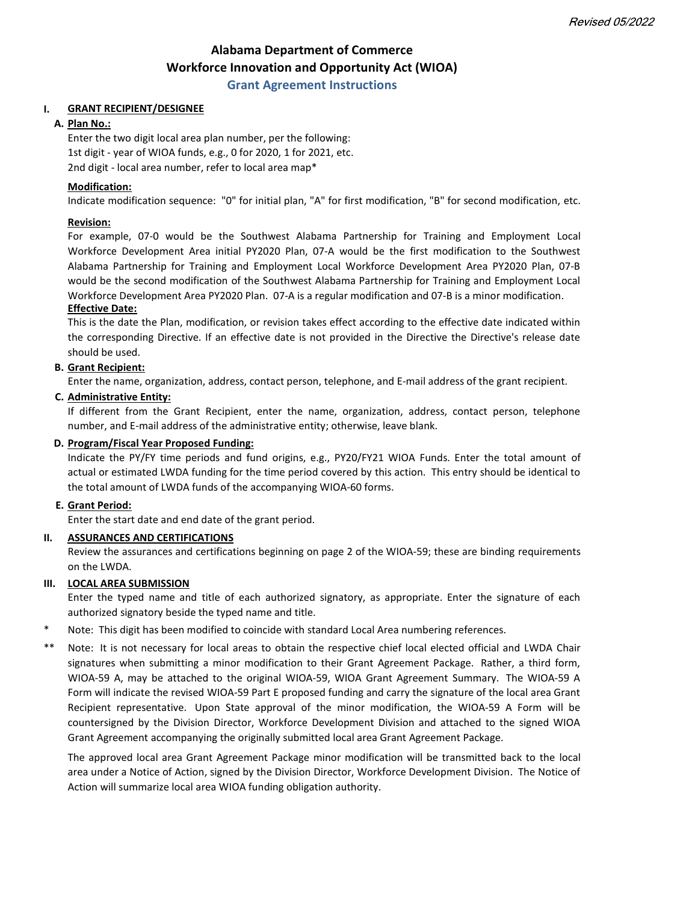# Alabama Department of Commerce Workforce Innovation and Opportunity Act (WIOA)

#### Grant Agreement Instructions

#### I. GRANT RECIPIENT/DESIGNEE

#### A. Plan No.:

2nd digit - local area number, refer to local area map\* 1st digit - year of WIOA funds, e.g., 0 for 2020, 1 for 2021, etc. Enter the two digit local area plan number, per the following:

#### Modification:

Indicate modification sequence: "0" for initial plan, "A" for first modification, "B" for second modification, etc.

#### Revision:

For example, 07-0 would be the Southwest Alabama Partnership for Training and Employment Local Workforce Development Area initial PY2020 Plan, 07-A would be the first modification to the Southwest Alabama Partnership for Training and Employment Local Workforce Development Area PY2020 Plan, 07-B would be the second modification of the Southwest Alabama Partnership for Training and Employment Local Workforce Development Area PY2020 Plan. 07-A is a regular modification and 07-B is a minor modification.

#### Effective Date:

This is the date the Plan, modification, or revision takes effect according to the effective date indicated within the corresponding Directive. If an effective date is not provided in the Directive the Directive's release date should be used.

#### B. Grant Recipient:

Enter the name, organization, address, contact person, telephone, and E-mail address of the grant recipient.

#### C. Administrative Entity:

If different from the Grant Recipient, enter the name, organization, address, contact person, telephone number, and E-mail address of the administrative entity; otherwise, leave blank.

#### D. Program/Fiscal Year Proposed Funding:

Indicate the PY/FY time periods and fund origins, e.g., PY20/FY21 WIOA Funds. Enter the total amount of actual or estimated LWDA funding for the time period covered by this action. This entry should be identical to the total amount of LWDA funds of the accompanying WIOA-60 forms.

#### E. Grant Period:

Enter the start date and end date of the grant period.

#### II. ASSURANCES AND CERTIFICATIONS

Review the assurances and certifications beginning on page 2 of the WIOA-59; these are binding requirements on the LWDA.

#### III. LOCAL AREA SUBMISSION

Enter the typed name and title of each authorized signatory, as appropriate. Enter the signature of each authorized signatory beside the typed name and title.

- \* Note: This digit has been modified to coincide with standard Local Area numbering references.
- \*\* Note: It is not necessary for local areas to obtain the respective chief local elected official and LWDA Chair signatures when submitting a minor modification to their Grant Agreement Package. Rather, a third form, WIOA-59 A, may be attached to the original WIOA-59, WIOA Grant Agreement Summary. The WIOA-59 A Form will indicate the revised WIOA-59 Part E proposed funding and carry the signature of the local area Grant Recipient representative. Upon State approval of the minor modification, the WIOA-59 A Form will be countersigned by the Division Director, Workforce Development Division and attached to the signed WIOA Grant Agreement accompanying the originally submitted local area Grant Agreement Package.

The approved local area Grant Agreement Package minor modification will be transmitted back to the local area under a Notice of Action, signed by the Division Director, Workforce Development Division. The Notice of Action will summarize local area WIOA funding obligation authority.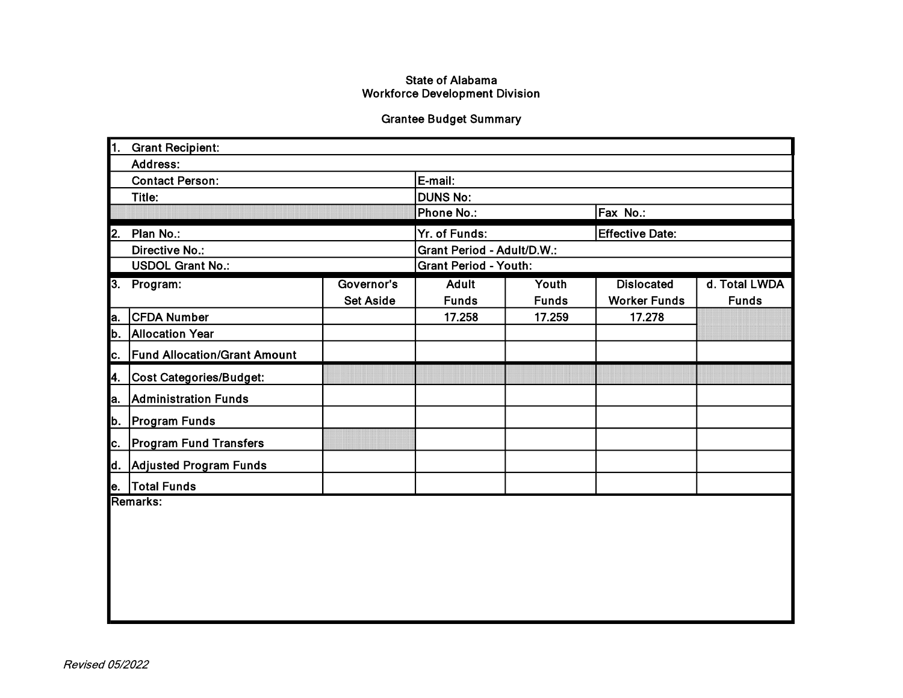#### **State of Alabama Workforce Development Division**

### **Grantee Budget Summary**

|                        | 1. Grant Recipient:                 |                  |                              |              |                        |               |  |  |
|------------------------|-------------------------------------|------------------|------------------------------|--------------|------------------------|---------------|--|--|
|                        | Address:                            |                  |                              |              |                        |               |  |  |
| <b>Contact Person:</b> |                                     |                  | E-mail:                      |              |                        |               |  |  |
| Title:                 |                                     |                  | <b>DUNS No:</b>              |              |                        |               |  |  |
|                        |                                     |                  | Phone No.:                   |              | Fax No.:               |               |  |  |
| 2.                     | Plan No.:                           |                  | Yr. of Funds:                |              | <b>Effective Date:</b> |               |  |  |
|                        | Directive No.:                      |                  | Grant Period - Adult/D.W.:   |              |                        |               |  |  |
|                        | <b>USDOL Grant No.:</b>             |                  | <b>Grant Period - Youth:</b> |              |                        |               |  |  |
|                        | 3. Program:                         | Governor's       | <b>Adult</b>                 | Youth        | <b>Dislocated</b>      | d. Total LWDA |  |  |
|                        |                                     | <b>Set Aside</b> | <b>Funds</b>                 | <b>Funds</b> | <b>Worker Funds</b>    | <b>Funds</b>  |  |  |
| a.                     | <b>CFDA Number</b>                  |                  | 17.258                       | 17.259       | 17.278                 |               |  |  |
| b.                     | <b>Allocation Year</b>              |                  |                              |              |                        |               |  |  |
| c.                     | <b>Fund Allocation/Grant Amount</b> |                  |                              |              |                        |               |  |  |
| 4.                     | Cost Categories/Budget:             |                  |                              |              |                        |               |  |  |
| a.                     | <b>Administration Funds</b>         |                  |                              |              |                        |               |  |  |
| b.                     | <b>Program Funds</b>                |                  |                              |              |                        |               |  |  |
| c.                     | <b>Program Fund Transfers</b>       |                  |                              |              |                        |               |  |  |
| d.                     | Adjusted Program Funds              |                  |                              |              |                        |               |  |  |
| le.                    | <b>Total Funds</b>                  |                  |                              |              |                        |               |  |  |
|                        | Remarks:                            |                  |                              |              |                        |               |  |  |
|                        |                                     |                  |                              |              |                        |               |  |  |
|                        |                                     |                  |                              |              |                        |               |  |  |
|                        |                                     |                  |                              |              |                        |               |  |  |
|                        |                                     |                  |                              |              |                        |               |  |  |
|                        |                                     |                  |                              |              |                        |               |  |  |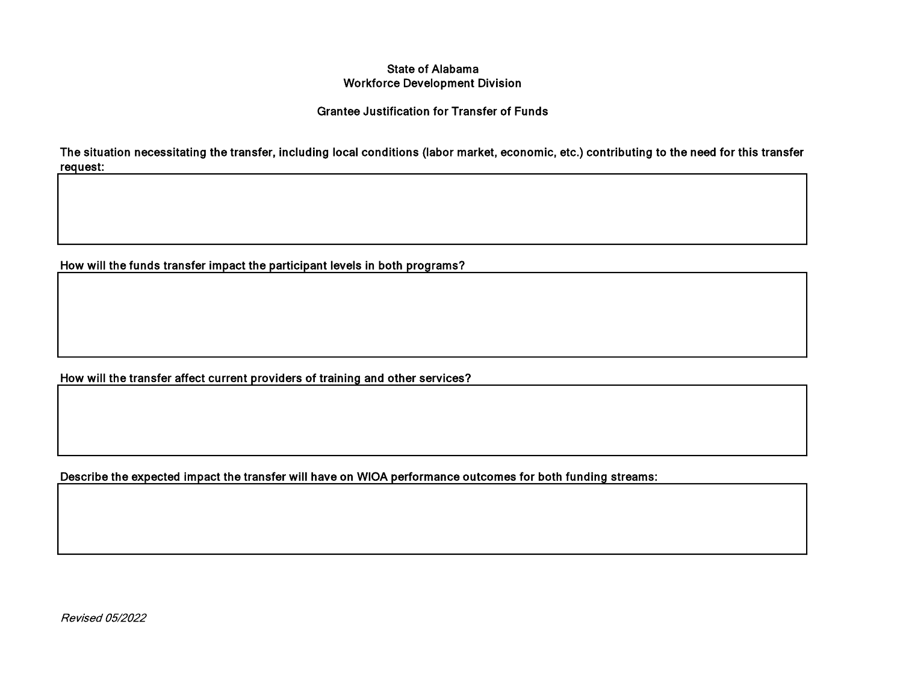#### **State of Alabama Workforce Development Division**

#### **Grantee Justification for Transfer of Funds**

The situation necessitating the transfer, including local conditions (labor market, economic, etc.) contributing to the need for this transfer request:

How will the funds transfer impact the participant levels in both programs?

How will the transfer affect current providers of training and other services?

Describe the expected impact the transfer will have on WIOA performance outcomes for both funding streams:

Revised 05/2022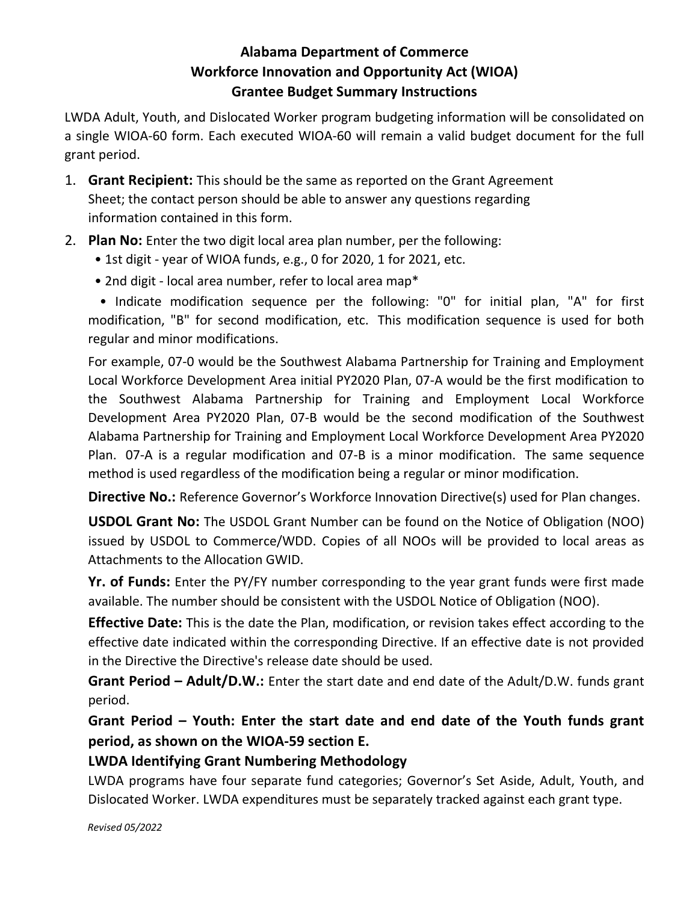# Alabama Department of Commerce Workforce Innovation and Opportunity Act (WIOA) Grantee Budget Summary Instructions

LWDA Adult, Youth, and Dislocated Worker program budgeting information will be consolidated on a single WIOA-60 form. Each executed WIOA-60 will remain a valid budget document for the full grant period.

- 1. Grant Recipient: This should be the same as reported on the Grant Agreement Sheet; the contact person should be able to answer any questions regarding information contained in this form.
- 2. Plan No: Enter the two digit local area plan number, per the following:
	- 1st digit year of WIOA funds, e.g., 0 for 2020, 1 for 2021, etc.
	- 2nd digit local area number, refer to local area map\*

• Indicate modification sequence per the following: "0" for initial plan, "A" for first modification, "B" for second modification, etc. This modification sequence is used for both regular and minor modifications.

For example, 07-0 would be the Southwest Alabama Partnership for Training and Employment Local Workforce Development Area initial PY2020 Plan, 07-A would be the first modification to the Southwest Alabama Partnership for Training and Employment Local Workforce Development Area PY2020 Plan, 07-B would be the second modification of the Southwest Alabama Partnership for Training and Employment Local Workforce Development Area PY2020 Plan. 07-A is a regular modification and 07-B is a minor modification. The same sequence method is used regardless of the modification being a regular or minor modification.

Directive No.: Reference Governor's Workforce Innovation Directive(s) used for Plan changes.

USDOL Grant No: The USDOL Grant Number can be found on the Notice of Obligation (NOO) issued by USDOL to Commerce/WDD. Copies of all NOOs will be provided to local areas as Attachments to the Allocation GWID.

Yr. of Funds: Enter the PY/FY number corresponding to the year grant funds were first made available. The number should be consistent with the USDOL Notice of Obligation (NOO).

**Effective Date:** This is the date the Plan, modification, or revision takes effect according to the effective date indicated within the corresponding Directive. If an effective date is not provided in the Directive the Directive's release date should be used.

Grant Period – Adult/D.W.: Enter the start date and end date of the Adult/D.W. funds grant period.

Grant Period – Youth: Enter the start date and end date of the Youth funds grant period, as shown on the WIOA-59 section E.

# LWDA Identifying Grant Numbering Methodology

LWDA programs have four separate fund categories; Governor's Set Aside, Adult, Youth, and Dislocated Worker. LWDA expenditures must be separately tracked against each grant type.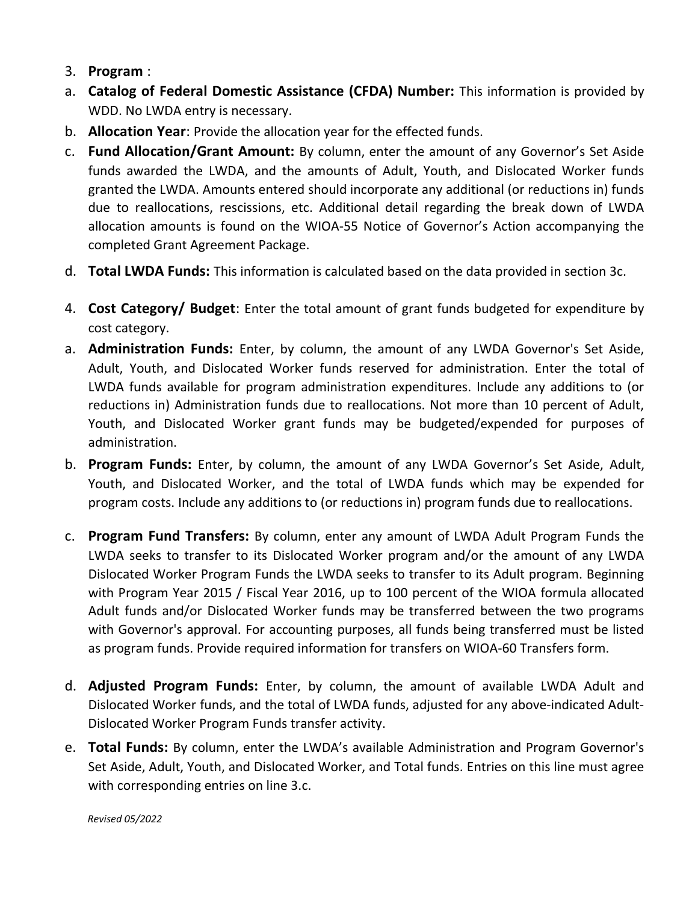- 3. Program :
- a. Catalog of Federal Domestic Assistance (CFDA) Number: This information is provided by WDD. No LWDA entry is necessary.
- b. **Allocation Year**: Provide the allocation year for the effected funds.
- c. Fund Allocation/Grant Amount: By column, enter the amount of any Governor's Set Aside funds awarded the LWDA, and the amounts of Adult, Youth, and Dislocated Worker funds granted the LWDA. Amounts entered should incorporate any additional (or reductions in) funds due to reallocations, rescissions, etc. Additional detail regarding the break down of LWDA allocation amounts is found on the WIOA-55 Notice of Governor's Action accompanying the completed Grant Agreement Package.
- d. Total LWDA Funds: This information is calculated based on the data provided in section 3c.
- 4. Cost Category/ Budget: Enter the total amount of grant funds budgeted for expenditure by cost category.
- a. **Administration Funds:** Enter, by column, the amount of any LWDA Governor's Set Aside, Adult, Youth, and Dislocated Worker funds reserved for administration. Enter the total of LWDA funds available for program administration expenditures. Include any additions to (or reductions in) Administration funds due to reallocations. Not more than 10 percent of Adult, Youth, and Dislocated Worker grant funds may be budgeted/expended for purposes of administration.
- b. Program Funds: Enter, by column, the amount of any LWDA Governor's Set Aside, Adult, Youth, and Dislocated Worker, and the total of LWDA funds which may be expended for program costs. Include any additions to (or reductions in) program funds due to reallocations.
- c. Program Fund Transfers: By column, enter any amount of LWDA Adult Program Funds the LWDA seeks to transfer to its Dislocated Worker program and/or the amount of any LWDA Dislocated Worker Program Funds the LWDA seeks to transfer to its Adult program. Beginning with Program Year 2015 / Fiscal Year 2016, up to 100 percent of the WIOA formula allocated Adult funds and/or Dislocated Worker funds may be transferred between the two programs with Governor's approval. For accounting purposes, all funds being transferred must be listed as program funds. Provide required information for transfers on WIOA-60 Transfers form.
- d. Adjusted Program Funds: Enter, by column, the amount of available LWDA Adult and Dislocated Worker funds, and the total of LWDA funds, adjusted for any above-indicated Adult-Dislocated Worker Program Funds transfer activity.
- e. Total Funds: By column, enter the LWDA's available Administration and Program Governor's Set Aside, Adult, Youth, and Dislocated Worker, and Total funds. Entries on this line must agree with corresponding entries on line 3.c.

Revised 05/2022